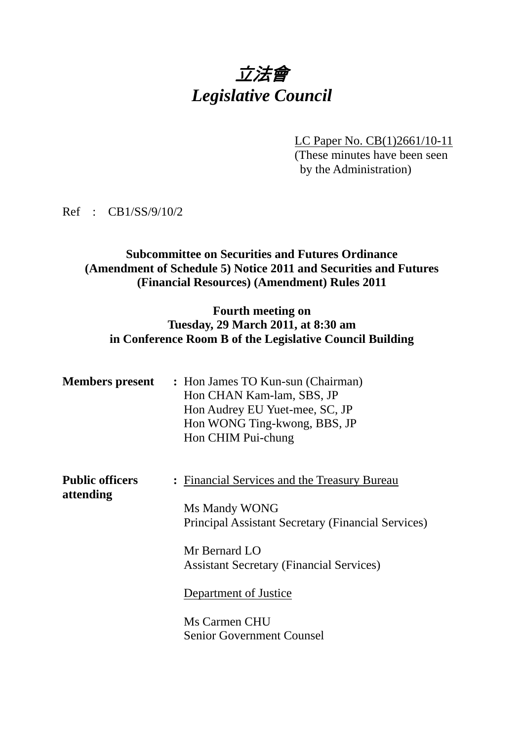# 立法會 *Legislative Council*

LC Paper No. CB(1)2661/10-11 (These minutes have been seen by the Administration)

Ref : CB1/SS/9/10/2

### **Subcommittee on Securities and Futures Ordinance (Amendment of Schedule 5) Notice 2011 and Securities and Futures (Financial Resources) (Amendment) Rules 2011**

## **Fourth meeting on Tuesday, 29 March 2011, at 8:30 am in Conference Room B of the Legislative Council Building**

| <b>Members present</b>              | : Hon James TO Kun-sun (Chairman)<br>Hon CHAN Kam-lam, SBS, JP<br>Hon Audrey EU Yuet-mee, SC, JP<br>Hon WONG Ting-kwong, BBS, JP<br>Hon CHIM Pui-chung |  |
|-------------------------------------|--------------------------------------------------------------------------------------------------------------------------------------------------------|--|
| <b>Public officers</b><br>attending | : Financial Services and the Treasury Bureau<br>Ms Mandy WONG<br>Principal Assistant Secretary (Financial Services)                                    |  |
|                                     | Mr Bernard LO<br><b>Assistant Secretary (Financial Services)</b>                                                                                       |  |
|                                     | Department of Justice                                                                                                                                  |  |
|                                     | Ms Carmen CHU                                                                                                                                          |  |
|                                     | <b>Senior Government Counsel</b>                                                                                                                       |  |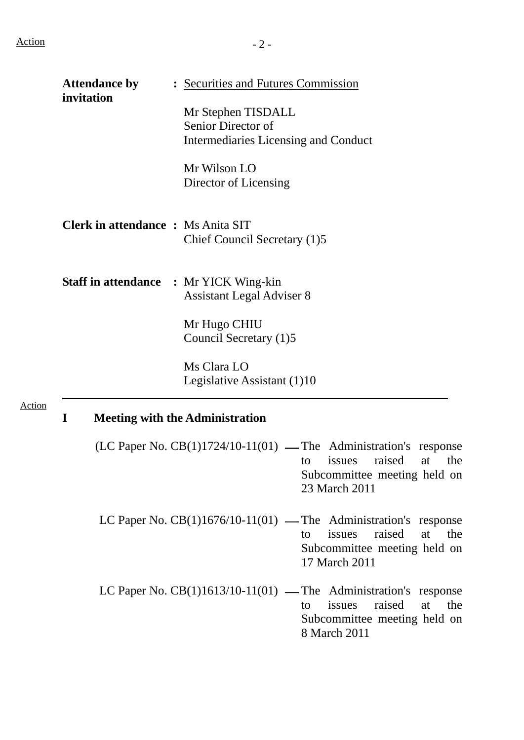|               | <b>Attendance by</b><br>invitation        | : Securities and Futures Commission                                                                                                                           |
|---------------|-------------------------------------------|---------------------------------------------------------------------------------------------------------------------------------------------------------------|
|               |                                           | Mr Stephen TISDALL<br>Senior Director of<br>Intermediaries Licensing and Conduct                                                                              |
|               |                                           | Mr Wilson LO<br>Director of Licensing                                                                                                                         |
|               | <b>Clerk in attendance : Ms Anita SIT</b> | Chief Council Secretary (1)5                                                                                                                                  |
|               |                                           | <b>Staff in attendance : Mr YICK Wing-kin</b><br><b>Assistant Legal Adviser 8</b>                                                                             |
|               |                                           | Mr Hugo CHIU<br>Council Secretary (1)5                                                                                                                        |
|               |                                           | Ms Clara LO<br>Legislative Assistant (1)10                                                                                                                    |
| <b>Action</b> | $\mathbf I$                               | <b>Meeting with the Administration</b>                                                                                                                        |
|               |                                           | $(LC$ Paper No. $CB(1)1724/10-11(01)$ — The Administration's response<br>raised<br>the<br>issues<br>at<br>to<br>Subcommittee meeting held on<br>23 March 2011 |
|               |                                           | LC Paper No. $CB(1)1676/10-11(01)$ — The Administration's response<br>raised<br>issues<br>at<br>the<br>to<br>Subcommittee meeting held on<br>17 March 2011    |
|               |                                           | LC Paper No. $CB(1)1613/10-11(01)$ — The Administration's response<br>raised<br>at<br>issues<br>the<br>to<br>Subcommittee meeting held on<br>8 March 2011     |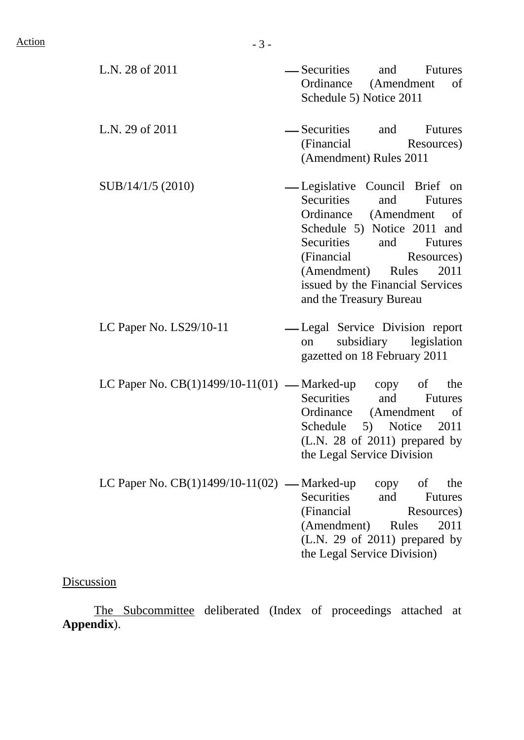L.N. 28 of 2011 ⎯ Securities and Futures Ordinance (Amendment of Schedule 5) Notice 2011 L.N. 29 of 2011 ⎯ Securities and Futures (Financial Resources) (Amendment) Rules 2011  $SUB/14/1/5 (2010)$   $—$  Legislative Council Brief on Securities and Futures Ordinance (Amendment of Schedule 5) Notice 2011 and Securities and Futures (Financial Resources) (Amendment) Rules 2011 issued by the Financial Services and the Treasury Bureau LC Paper No. LS29/10-11 - Legal Service Division report on subsidiary legislation gazetted on 18 February 2011 LC Paper No.  $CB(1)1499/10-11(01)$  — Marked-up copy of the Securities and Futures Ordinance (Amendment of Schedule 5) Notice 2011 (L.N. 28 of 2011) prepared by the Legal Service Division LC Paper No.  $CB(1)1499/10-11(02)$  — Marked-up copy of the

Securities and Futures (Financial Resources) (Amendment) Rules 2011 (L.N. 29 of 2011) prepared by the Legal Service Division)

# Discussion

 The Subcommittee deliberated (Index of proceedings attached at **Appendix**).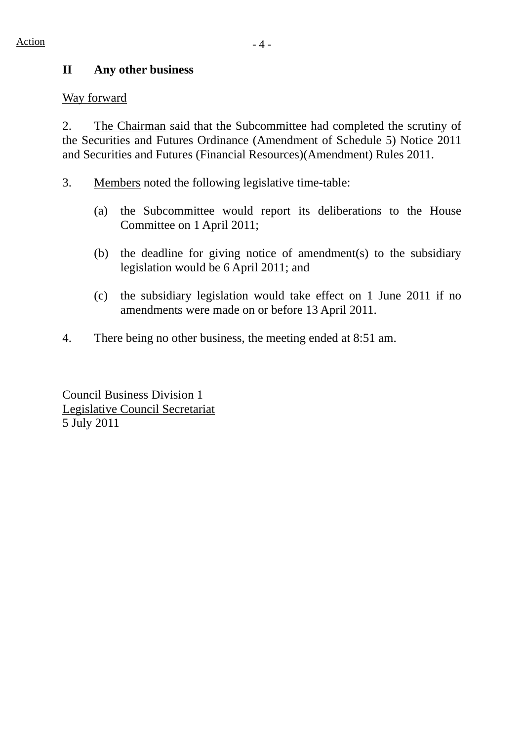# **II Any other business**

### Way forward

2. The Chairman said that the Subcommittee had completed the scrutiny of the Securities and Futures Ordinance (Amendment of Schedule 5) Notice 2011 and Securities and Futures (Financial Resources)(Amendment) Rules 2011.

- 3. Members noted the following legislative time-table:
	- (a) the Subcommittee would report its deliberations to the House Committee on 1 April 2011;
	- (b) the deadline for giving notice of amendment(s) to the subsidiary legislation would be 6 April 2011; and
	- (c) the subsidiary legislation would take effect on 1 June 2011 if no amendments were made on or before 13 April 2011.
- 4. There being no other business, the meeting ended at 8:51 am.

Council Business Division 1 Legislative Council Secretariat 5 July 2011